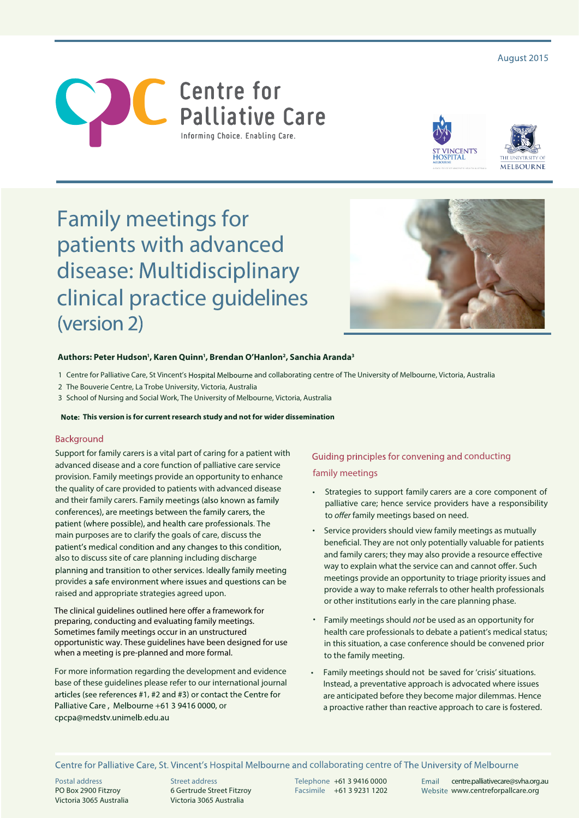August 2015







# Family meetings for patients with advanced disease: Multidisciplinary clinical practice guidelines (version 2)



#### Authors: Peter Hudson<sup>1</sup>, Karen Quinn<sup>1</sup>, Brendan O'Hanlon<sup>2</sup>, Sanchia Aranda<sup>3</sup>

- 1 Centre for Palliative Care, St Vincent's Hospital Melbourne and collaborating centre of The University of Melbourne, Victoria, Australia
- 2 The Bouverie Centre, La Trobe University, Victoria, Australia
- 3 School of Nursing and Social Work, The University of Melbourne, Victoria, Australia

 **This version is for current research study and not for wider dissemination**

#### Background

Support for family carers is a vital part of caring for a patient with advanced disease and a core function of palliative care service provision. Family meetings provide an opportunity to enhance the quality of care provided to patients with advanced disease and their family carers. Family meetings (also known as family conferences), are meetings between the family carers, the patient (where possible), and health care professionals. The main purposes are to clarify the goals of care, discuss the patient's medical condition and any changes to this condition, also to discuss site of care planning including discharge planning and transition to other services. Ideally family meeting provides a safe environment where issues and questions can be raised and appropriate strategies agreed upon.

The clinical guidelines outlined here offer a framework for preparing, conducting and evaluating family meetings. Sometimes family meetings occur in an unstructured opportunistic way. These guidelines have been designed for use when a meeting is pre-planned and more formal.

For more information regarding the development and evidence base of these guidelines please refer to our international journal articles (see references #1, #2 and #3) or contact the Centre for Palliative Care, Melbourne +61 3 9416 0000, or cpcpa@medstv.unimelb.edu.au

### Guiding principles for convening and conducting family meetings

- Strategies to support family carers are a core component of palliative care; hence service providers have a responsibility to *offer* family meetings based on need.
- Service providers should view family meetings as mutually beneficial. They are not only potentially valuable for patients and family carers; they may also provide a resource effective way to explain what the service can and cannot offer. Such meetings provide an opportunity to triage priority issues and provide a way to make referrals to other health professionals or other institutions early in the care planning phase.
- Family meetings should *not* be used as an opportunity for health care professionals to debate a patient's medical status; in this situation, a case conference should be convened prior to the family meeting.
- Family meetings should not be saved for 'crisis' situations. Instead, a preventative approach is advocated where issues are anticipated before they become major dilemmas. Hence a proactive rather than reactive approach to care is fostered.

Centre for Palliative Care, St. Vincent's Hospital Melbourne and collaborating centre of The University of Melbourne

Postal address PO Box 2900 Fitzroy Victoria 3065 Australia Street address 6 Gertrude Street Fitzroy Victoria 3065 Australia

Telephone +61 3 9416 0000 Email centre.palliativecare@svha.org.au<br>Facsimile +61 3 9231 1202 Website www.centreforpallcare.org Website www.centreforpallcare.org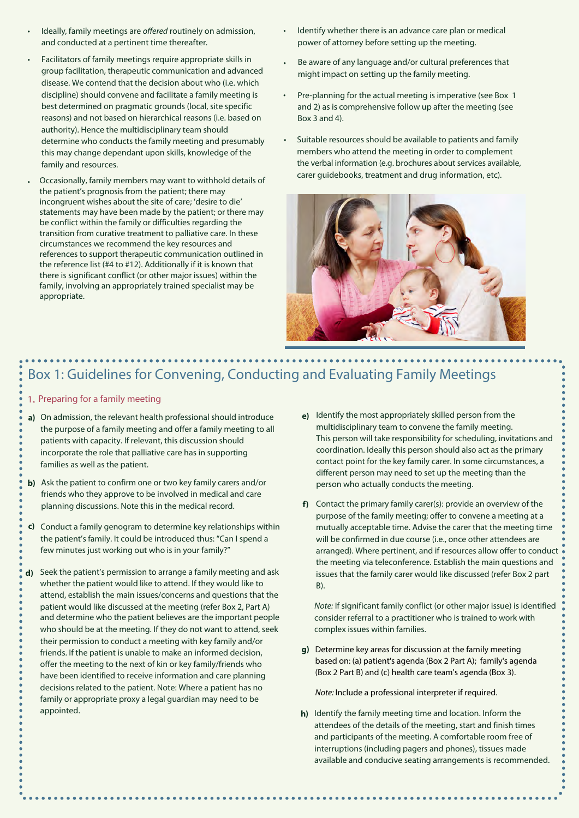- Ideally, family meetings are *offered* routinely on admission, and conducted at a pertinent time thereafter.
- Facilitators of family meetings require appropriate skills in group facilitation, therapeutic communication and advanced disease. We contend that the decision about who (i.e. which discipline) should convene and facilitate a family meeting is best determined on pragmatic grounds (local, site specific reasons) and not based on hierarchical reasons (i.e. based on authority). Hence the multidisciplinary team should determine who conducts the family meeting and presumably this may change dependant upon skills, knowledge of the family and resources.
- Occasionally, family members may want to withhold details of the patient's prognosis from the patient; there may incongruent wishes about the site of care; 'desire to die' statements may have been made by the patient; or there may be conflict within the family or difficulties regarding the transition from curative treatment to palliative care. In these circumstances we recommend the key resources and references to support therapeutic communication outlined in the reference list (#4 to #12). Additionally if it is known that there is significant conflict (or other major issues) within the family, involving an appropriately trained specialist may be appropriate.
- Identify whether there is an advance care plan or medical power of attorney before setting up the meeting. •
- Be aware of any language and/or cultural preferences that might impact on setting up the family meeting. •
- Pre-planning for the actual meeting is imperative (see Box 1) and 2) as is comprehensive follow up after the meeting (see Box 3 and 4).
- Suitable resources should be available to patients and family members who attend the meeting in order to complement the verbal information (e.g. brochures about services available, carer guidebooks, treatment and drug information, etc).



### Box 1: Guidelines for Convening, Conducting and Evaluating Family Meetings

- 1. Preparing for a family meeting
- **a)** On admission, the relevant health professional should introduce the purpose of a family meeting and offer a family meeting to all patients with capacity. If relevant, this discussion should incorporate the role that palliative care has in supporting families as well as the patient.
- **b)** Ask the patient to confirm one or two key family carers and/or friends who they approve to be involved in medical and care planning discussions. Note this in the medical record.
- c) Conduct a family genogram to determine key relationships within the patient's family. It could be introduced thus: "Can I spend a few minutes just working out who is in your family?"
- **d)** Seek the patient's permission to arrange a family meeting and ask whether the patient would like to attend. If they would like to attend, establish the main issues/concerns and questions that the patient would like discussed at the meeting (refer Box 2, Part A) and determine who the patient believes are the important people who should be at the meeting. If they do not want to attend, seek their permission to conduct a meeting with key family and/or friends. If the patient is unable to make an informed decision, offer the meeting to the next of kin or key family/friends who have been identified to receive information and care planning decisions related to the patient. Note: Where a patient has no family or appropriate proxy a legal guardian may need to be appointed.
- **e)** Identify the most appropriately skilled person from the multidisciplinary team to convene the family meeting. This person will take responsibility for scheduling, invitations and coordination. Ideally this person should also act as the primary contact point for the key family carer. In some circumstances, a different person may need to set up the meeting than the person who actually conducts the meeting.
- f) Contact the primary family carer(s): provide an overview of the purpose of the family meeting; offer to convene a meeting at a mutually acceptable time. Advise the carer that the meeting time will be confirmed in due course (i.e., once other attendees are arranged). Where pertinent, and if resources allow offer to conduct the meeting via teleconference. Establish the main questions and issues that the family carer would like discussed (refer Box 2 part B).

Note: If significant family conflict (or other major issue) is identified consider referral to a practitioner who is trained to work with complex issues within families.

**g)** Determine key areas for discussion at the family meeting based on: (a) patient's agenda (Box 2 Part A); family's agenda (Box 2 Part B) and (c) health care team's agenda (Box 3).

Note: Include a professional interpreter if required.

**h)** Identify the family meeting time and location. Inform the attendees of the details of the meeting, start and finish times and participants of the meeting. A comfortable room free of interruptions (including pagers and phones), tissues made available and conducive seating arrangements is recommended.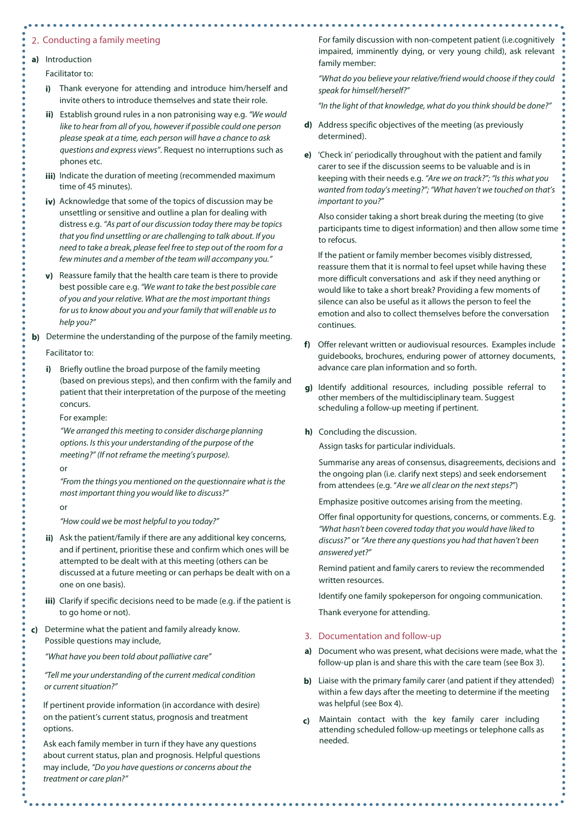#### 2. Conducting a family meeting

**a)** Introduction

Facilitator to:

- **i)** Thank everyone for attending and introduce him/herself and invite others to introduce themselves and state their role.
- **ii)** Establish ground rules in a non patronising way e.g. *"We would like to hear from all of you, however if possible could one person please speak at a time, each person will have a chance to ask questions and express views"*. Request no interruptions such as phones etc.
- **iii)** Indicate the duration of meeting (recommended maximum time of 45 minutes).
- **iv)** Acknowledge that some of the topics of discussion may be unsettling or sensitive and outline a plan for dealing with distress e.g. "As part of our discussion today there may be topics that you find unsettling or are challenging to talk about. If you need to take a break, please feel free to step out of the room for a few minutes and a member of the team will accompany you."
- **v)** Reassure family that the health care team is there to provide best possible care e.g. "We want to take the best possible care of you and your relative. What are the most important things for us to know about you and your family that will enable us to help you?"

**b)** Determine the understanding of the purpose of the family meeting.

Facilitator to:

**i)** Briefly outline the broad purpose of the family meeting (based on previous steps), and then confirm with the family and patient that their interpretation of the purpose of the meeting concurs.

For example:

*"We arranged this meeting to consider discharge planning options. Is this your understanding of the purpose of the meeting?" (If not reframe the meeting's purpose).*

or

*"From the things you mentioned on the questionnaire what is the most important thing you would like to discuss?"*

or

*"How could we be most helpful to you today?"*

- **ii)** Ask the patient/family if there are any additional key concerns, and if pertinent, prioritise these and confirm which ones will be attempted to be dealt with at this meeting (others can be discussed at a future meeting or can perhaps be dealt with on a one on one basis).
- **iii)** Clarify if specific decisions need to be made (e.g. if the patient is to go home or not).
- **c)** Determine what the patient and family already know. Possible questions may include,

*"What have you been told about palliative care"*

*"Tell me your understanding of the current medical condition or current situation?"* 

If pertinent provide information (in accordance with desire) on the patient's current status, prognosis and treatment options.

Ask each family member in turn if they have any questions about current status, plan and prognosis. Helpful questions may include, *"Do you have questions or concerns about the treatment or care plan?"*

For family discussion with non-competent patient (i.e.cognitively impaired, imminently dying, or very young child), ask relevant family member:

*"What do you believe your relative/friend would choose if they could speak for himself/herself?"*

*"In the light of that knowledge, what do you think should be done?"*

- **d)** Address specific objectives of the meeting (as previously determined).
- **e)** 'Check in' periodically throughout with the patient and family carer to see if the discussion seems to be valuable and is in keeping with their needs e.g. *"Are we on track?"; "Is this what you wanted from today's meeting?"; "What haven't we touched on that's important to you?"*

Also consider taking a short break during the meeting (to give participants time to digest information) and then allow some time to refocus.

If the patient or family member becomes visibly distressed, reassure them that it is normal to feel upset while having these more difficult conversations and ask if they need anything or would like to take a short break? Providing a few moments of silence can also be useful as it allows the person to feel the emotion and also to collect themselves before the conversation continues.

- **f)** Offer relevant written or audiovisual resources. Examples include guidebooks, brochures, enduring power of attorney documents, advance care plan information and so forth.
- **g)** Identify additional resources, including possible referral to other members of the multidisciplinary team. Suggest scheduling a follow-up meeting if pertinent.
- **h)** Concluding the discussion.

Assign tasks for particular individuals.

Summarise any areas of consensus, disagreements, decisions and the ongoing plan (i.e. clarify next steps) and seek endorsement from attendees (e.g. "Are we all clear on the next steps?")

Emphasize positive outcomes arising from the meeting.

Offer final opportunity for questions, concerns, or comments. E.g. *"What hasn't been covered today that you would have liked to discuss?"* or *"Are there any questions you had that haven't been answered yet?"*

Remind patient and family carers to review the recommended written resources.

Identify one family spokeperson for ongoing communication.

Thank everyone for attending.

#### 3. Documentation and follow-up

- **a)** Document who was present, what decisions were made, what the follow-up plan is and share this with the care team (see Box 3).
- **b)** Liaise with the primary family carer (and patient if they attended) within a few days after the meeting to determine if the meeting was helpful (see Box 4).
- **c)** Maintain contact with the key family carer including attending scheduled follow-up meetings or telephone calls as needed.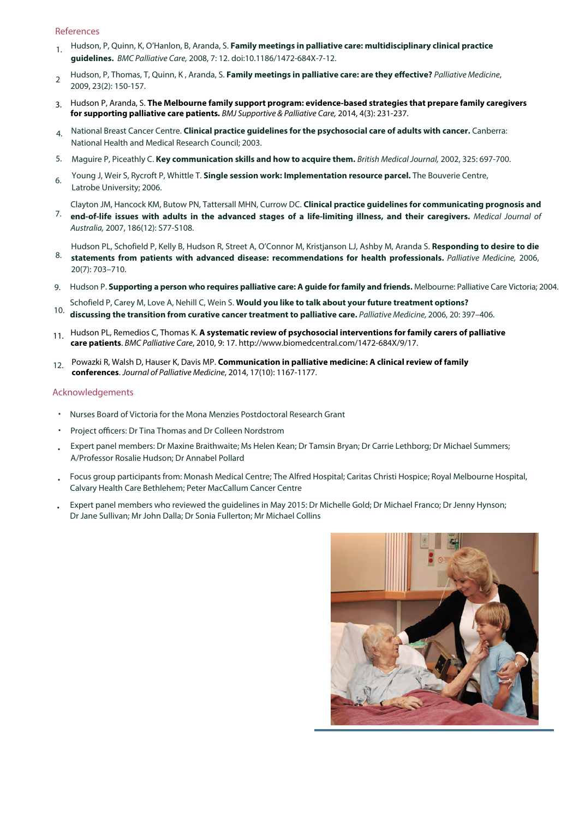#### References

- 1. Hudson, P, Quinn, K, O'Hanlon, B, Aranda, S. **Family meetings in palliative care: multidisciplinary clinical practice guidelines.** BMC Palliative Care, 2008, 7: 12. doi:10.1186/1472-684X-7-12.
- $\overline{\mathcal{L}}$ Hudson, P, Thomas, T, Quinn, K , Aranda, S. **Family meetings in palliative care: are they effective?** Palliative Medicine, 2009, 23(2): 150-157.
- 3. Hudson P, Aranda, S. **The Melbourne family support program: evidence-based strategies that prepare family caregivers for supporting palliative care patients.** BMJ Supportive & Palliative Care, 2014, 4(3): 231-237.
- National Breast Cancer Centre. **Clinical practice guidelines for the psychosocial care of adults with cancer.** Canberra: National Health and Medical Research Council; 2003.
- Maguire P, Piceathly C. **Key communication skills and how to acquire them.** British Medical Journal, 2002, 325: 697-700.
- Young J, Weir S, Rycroft P, Whittle T. **Single session work: Implementation resource parcel.** The Bouverie Centre,  $\kappa$ Latrobe University; 2006.
- Clayton JM, Hancock KM, Butow PN, Tattersall MHN, Currow DC. **Clinical practice guidelines for communicating prognosis and end-of-life issues with adults in the advanced stages of a life-limiting illness, and their caregivers.** Medical Journal of
- Australia, 2007, 186(12): S77-S108.
	- Hudson PL, Schofield P, Kelly B, Hudson R, Street A, O'Connor M, Kristjanson LJ, Ashby M, Aranda S. **Responding to desire to die**
- **statements from patients with advanced disease: recommendations for health professionals.** Palliative Medicine, 2006, 20(7): 703–710.
- Hudson P. **Supporting a person who requires palliative care: A guide for family and friends.** Melbourne: Palliative Care Victoria; 2004.
- Schofield P, Carey M, Love A, Nehill C, Wein S. **Would you like to talk about your future treatment options?**   $10<sub>1</sub>$ **discussing the transition from curative cancer treatment to palliative care.** Palliative Medicine, 2006, 20: 397–406.
- 11. Hudson PL, Remedios C, Thomas K. **A systematic review of psychosocial interventions for family carers of palliative care patients**. BMC Palliative Care, 2010, 9: 17. http://www.biomedcentral.com/1472-684X/9/17.
- Powazki R, Walsh D, Hauser K, Davis MP. **Communication in palliative medicine: A clinical review of family conferences**. Journal of Palliative Medicine, 2014, 17(10): 1167-1177.

#### Acknowledgements

- **Nurses Board of Victoria for the Mona Menzies Postdoctoral Research Grant**
- Project officers: Dr Tina Thomas and Dr Colleen Nordstrom
- Expert panel members: Dr Maxine Braithwaite; Ms Helen Kean; Dr Tamsin Bryan; Dr Carrie Lethborg; Dr Michael Summers; A/Professor Rosalie Hudson; Dr Annabel Pollard
- Focus group participants from: Monash Medical Centre; The Alfred Hospital; Caritas Christi Hospice; Royal Melbourne Hospital, Calvary Health Care Bethlehem; Peter MacCallum Cancer Centre
- Expert panel members who reviewed the guidelines in May 2015: Dr Michelle Gold; Dr Michael Franco; Dr Jenny Hynson; Dr Jane Sullivan; Mr John Dalla; Dr Sonia Fullerton; Mr Michael Collins

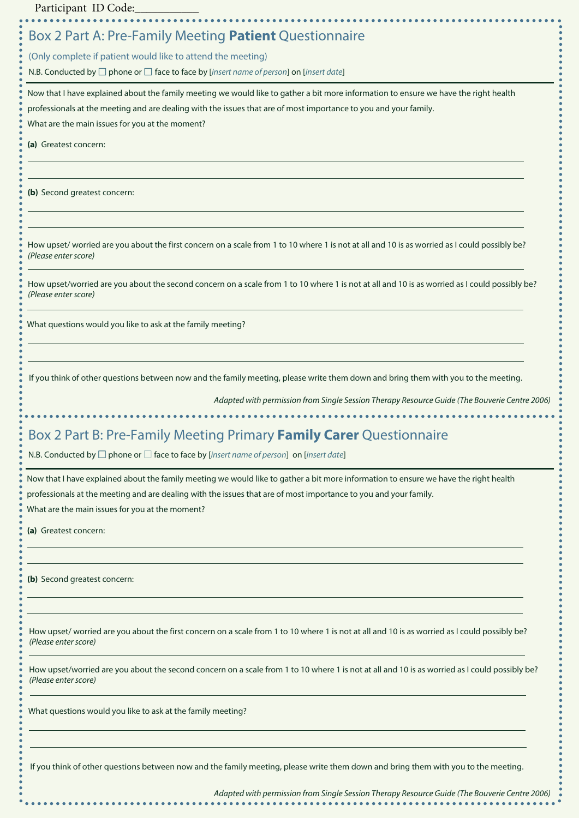Participant ID Code:

### Box 2 Part A: Pre-Family Meeting **Patient** Questionnaire

(Only complete if patient would like to attend the meeting)

N.B. Conducted by  $\Box$  phone or  $\Box$  face to face by [insert name of person] on [insert date]

Now that I have explained about the family meeting we would like to gather a bit more information to ensure we have the right health

professionals at the meeting and are dealing with the issues that are of most importance to you and your family.

What are the main issues for you at the moment?

**(a)** Greatest concern:

**(b)** Second greatest concern:

How upset/ worried are you about the first concern on a scale from 1 to 10 where 1 is not at all and 10 is as worried as I could possibly be? *(P*lease enter score*)*

How upset/worried are you about the second concern on a scale from 1 to 10 where 1 is not at all and 10 is as worried as I could possibly be? *(Pl*ease enter score*)*

What questions would you like to ask at the family meeting?

If you think of other questions between now and the family meeting, please write them down and bring them with you to the meeting.

*Adapted with permission from Single Session Therapy Resource Guide (The Bouverie Centre 2006)*

## Box 2 Part B: Pre-Family Meeting Primary **Family Carer** Questionnaire

N.B. Conducted by  $\Box$  phone or  $\Box$  face to face by [insert name of person] on [insert date]

Now that I have explained about the family meeting we would like to gather a bit more information to ensure we have the right health professionals at the meeting and are dealing with the issues that are of most importance to you and your family. What are the main issues for you at the moment?

**(a)** Greatest concern:

**(b)** Second greatest concern:

How upset/ worried are you about the first concern on a scale from 1 to 10 where 1 is not at all and 10 is as worried as I could possibly be? *(P*lease enter score*)*

How upset/worried are you about the second concern on a scale from 1 to 10 where 1 is not at all and 10 is as worried as I could possibly be? *(Pl*ease enter score*)*

What questions would you like to ask at the family meeting?

If you think of other questions between now and the family meeting, please write them down and bring them with you to the meeting.

*Adapted with permission from Single Session Therapy Resource Guide (The Bouverie Centre 2006)*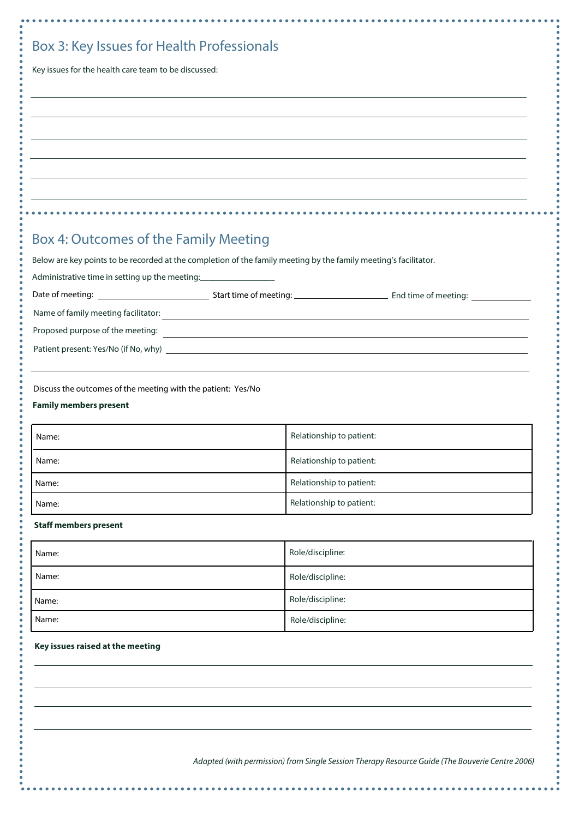| Key issues for the health care team to be discussed:                                                   |                                                                                                                  |  |
|--------------------------------------------------------------------------------------------------------|------------------------------------------------------------------------------------------------------------------|--|
|                                                                                                        |                                                                                                                  |  |
|                                                                                                        |                                                                                                                  |  |
|                                                                                                        |                                                                                                                  |  |
|                                                                                                        |                                                                                                                  |  |
|                                                                                                        |                                                                                                                  |  |
|                                                                                                        |                                                                                                                  |  |
|                                                                                                        |                                                                                                                  |  |
|                                                                                                        |                                                                                                                  |  |
|                                                                                                        |                                                                                                                  |  |
| Box 4: Outcomes of the Family Meeting                                                                  |                                                                                                                  |  |
|                                                                                                        |                                                                                                                  |  |
|                                                                                                        | Below are key points to be recorded at the completion of the family meeting by the family meeting's facilitator. |  |
| Administrative time in setting up the meeting: _________________________________                       |                                                                                                                  |  |
|                                                                                                        |                                                                                                                  |  |
|                                                                                                        |                                                                                                                  |  |
|                                                                                                        |                                                                                                                  |  |
|                                                                                                        |                                                                                                                  |  |
|                                                                                                        |                                                                                                                  |  |
|                                                                                                        |                                                                                                                  |  |
| Discuss the outcomes of the meeting with the patient: Yes/No<br><b>Family members present</b><br>Name: | Relationship to patient:                                                                                         |  |
| Name:                                                                                                  | Relationship to patient:                                                                                         |  |
|                                                                                                        | Relationship to patient:                                                                                         |  |
| Name:<br>Name:                                                                                         | Relationship to patient:                                                                                         |  |
| <b>Staff members present</b>                                                                           |                                                                                                                  |  |
| Name:                                                                                                  | Role/discipline:                                                                                                 |  |
| Name:                                                                                                  | Role/discipline:                                                                                                 |  |
| Name:                                                                                                  | Role/discipline:                                                                                                 |  |
| Name:                                                                                                  | Role/discipline:                                                                                                 |  |
|                                                                                                        |                                                                                                                  |  |
| Key issues raised at the meeting                                                                       |                                                                                                                  |  |
|                                                                                                        |                                                                                                                  |  |
|                                                                                                        |                                                                                                                  |  |

*Adapted (with permission) from Single Session Therapy Resource Guide (The Bouverie Centre 2006)*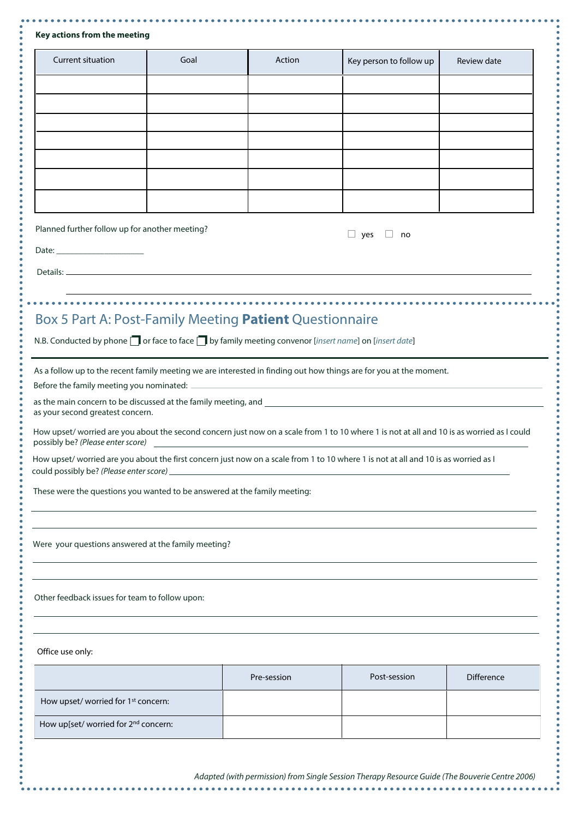| Key actions from the meeting |  |  |
|------------------------------|--|--|
|------------------------------|--|--|

| <b>Current situation</b>                                                                                                  | Goal                                                                      | Action                                                                                               | Key person to follow up                                                                                                                    | Review date       |
|---------------------------------------------------------------------------------------------------------------------------|---------------------------------------------------------------------------|------------------------------------------------------------------------------------------------------|--------------------------------------------------------------------------------------------------------------------------------------------|-------------------|
|                                                                                                                           |                                                                           |                                                                                                      |                                                                                                                                            |                   |
|                                                                                                                           |                                                                           |                                                                                                      |                                                                                                                                            |                   |
|                                                                                                                           |                                                                           |                                                                                                      |                                                                                                                                            |                   |
|                                                                                                                           |                                                                           |                                                                                                      |                                                                                                                                            |                   |
|                                                                                                                           |                                                                           |                                                                                                      |                                                                                                                                            |                   |
|                                                                                                                           |                                                                           |                                                                                                      |                                                                                                                                            |                   |
| Planned further follow up for another meeting?                                                                            |                                                                           |                                                                                                      | $\Box$ yes<br>no                                                                                                                           |                   |
|                                                                                                                           |                                                                           |                                                                                                      |                                                                                                                                            |                   |
|                                                                                                                           |                                                                           |                                                                                                      |                                                                                                                                            |                   |
|                                                                                                                           |                                                                           |                                                                                                      | <u> 1989 - Johann Stoff, deutscher Stoffen und der Stoffen und der Stoffen und der Stoffen und der Stoffen und de</u>                      |                   |
|                                                                                                                           |                                                                           | Box 5 Part A: Post-Family Meeting Patient Questionnaire                                              |                                                                                                                                            |                   |
|                                                                                                                           |                                                                           | N.B. Conducted by phone no face to face no by family meeting convenor [insert name] on [insert date] |                                                                                                                                            |                   |
|                                                                                                                           |                                                                           |                                                                                                      | As a follow up to the recent family meeting we are interested in finding out how things are for you at the moment.                         |                   |
| Before the family meeting you nominated:                                                                                  |                                                                           |                                                                                                      |                                                                                                                                            |                   |
| as your second greatest concern.                                                                                          |                                                                           |                                                                                                      |                                                                                                                                            |                   |
| possibly be? (Please enter score)                                                                                         |                                                                           |                                                                                                      | How upset/ worried are you about the second concern just now on a scale from 1 to 10 where 1 is not at all and 10 is as worried as I could |                   |
|                                                                                                                           |                                                                           |                                                                                                      | How upset/ worried are you about the first concern just now on a scale from 1 to 10 where 1 is not at all and 10 is as worried as I        |                   |
|                                                                                                                           | These were the questions you wanted to be answered at the family meeting: |                                                                                                      |                                                                                                                                            |                   |
|                                                                                                                           |                                                                           |                                                                                                      |                                                                                                                                            |                   |
|                                                                                                                           |                                                                           |                                                                                                      |                                                                                                                                            |                   |
|                                                                                                                           |                                                                           |                                                                                                      |                                                                                                                                            |                   |
|                                                                                                                           |                                                                           |                                                                                                      |                                                                                                                                            |                   |
|                                                                                                                           |                                                                           |                                                                                                      |                                                                                                                                            |                   |
|                                                                                                                           |                                                                           |                                                                                                      |                                                                                                                                            |                   |
| Were your questions answered at the family meeting?<br>Other feedback issues for team to follow upon:<br>Office use only: |                                                                           |                                                                                                      |                                                                                                                                            |                   |
|                                                                                                                           |                                                                           | Pre-session                                                                                          | Post-session                                                                                                                               | <b>Difference</b> |
| How upset/ worried for 1 <sup>st</sup> concern:                                                                           |                                                                           |                                                                                                      |                                                                                                                                            |                   |